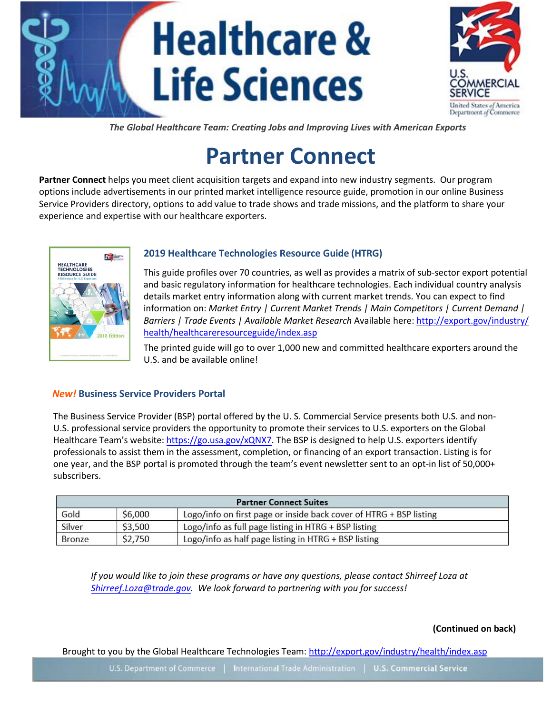# **Healthcare & Life Sciences**



*The Global Healthcare Team: Creating Jobs and Improving Lives with American Exports*

## **Partner Connect**

**Partner Connect** helps you meet client acquisition targets and expand into new industry segments. Our program options include advertisements in our printed market intelligence resource guide, promotion in our online Business Service Providers directory, options to add value to trade shows and trade missions, and the platform to share your experience and expertise with our healthcare exporters.



## **2019 Healthcare Technologies Resource Guide (HTRG)**

This guide profiles over 70 countries, as well as provides a matrix of sub-sector export potential and basic regulatory information for healthcare technologies. Each individual country analysis details market entry information along with current market trends. You can expect to find information on: *Market Entry | Current Market Trends | Main Competitors | Current Demand | Barriers | Trade Events | Available Market Research* Available here: http://export.gov/industry/ health/healthcareresourceguide/index.asp

The printed guide will go to over 1,000 new and committed healthcare exporters around the U.S. and be available online!

## *New!* **Business Service Providers Portal**

The Business Service Provider (BSP) portal offered by the U. S. Commercial Service presents both U.S. and non-U.S. professional service providers the opportunity to promote their services to U.S. exporters on the Global Healthcare Team's website: https://go.usa.gov/xQNX7. The BSP is designed to help U.S. exporters identify professionals to assist them in the assessment, completion, or financing of an export transaction. Listing is for one year, and the BSP portal is promoted through the team's event newsletter sent to an opt-in list of 50,000+ subscribers.

| <b>Partner Connect Suites</b> |         |                                                                    |
|-------------------------------|---------|--------------------------------------------------------------------|
| Gold                          | \$6,000 | Logo/info on first page or inside back cover of HTRG + BSP listing |
| Silver                        | \$3,500 | Logo/info as full page listing in HTRG + BSP listing               |
| Bronze                        | \$2,750 | Logo/info as half page listing in HTRG + BSP listing               |

*If you would like to join these programs or have any questions, please contact Shirreef Loza at Shirreef.Loza@trade.gov. We look forward to partnering with you for success!* 

**(Continued on back)**

Brought to you by the Global Healthcare Technologies Team[: http://export.gov/industry/health/index.asp](http://export.gov/industry/health/index.asp)